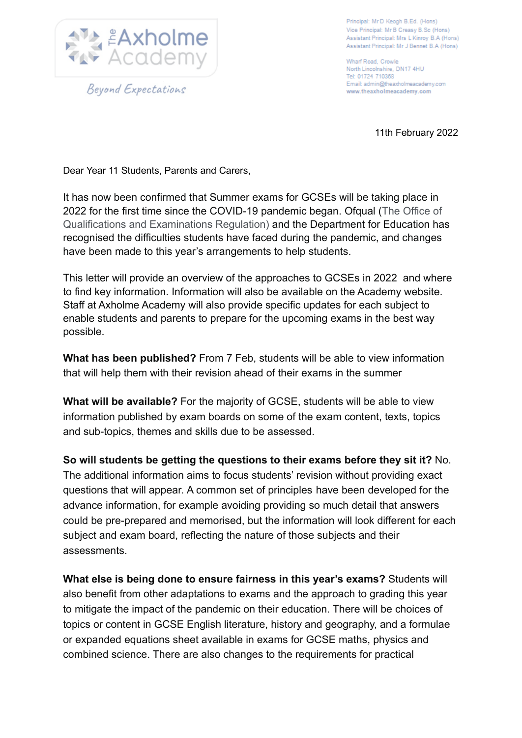

Principal: Mr D Keogh B.Ed. (Hons) Vice Principal: Mr B Creasy B.Sc (Hons) Assistant Principal: Mrs L Kinroy B.A (Hons) Assistant Principal: Mr J Bennet B.A (Hons)

Wharf Road, Crowle North Lincolnshire, DN17 4HU Tel: 01724 710368 Email: admin@theaxholmeacademy.com www.theaxholmeacademy.com

11th February 2022

Dear Year 11 Students, Parents and Carers,

It has now been confirmed that Summer exams for GCSEs will be taking place in 2022 for the first time since the COVID-19 pandemic began. Ofqual (The Office of Qualifications and Examinations Regulation) and the Department for Education has recognised the difficulties students have faced during the pandemic, and changes have been made to this year's arrangements to help students.

This letter will provide an overview of the approaches to GCSEs in 2022 and where to find key information. Information will also be available on the Academy website. Staff at Axholme Academy will also provide specific updates for each subject to enable students and parents to prepare for the upcoming exams in the best way possible.

**What has been published?** From 7 Feb, students will be able to view information that will help them with their revision ahead of their exams in the summer

**What will be available?** For the majority of GCSE, students will be able to view information published by exam boards on some of the exam content, texts, topics and sub-topics, themes and skills due to be assessed.

**So will students be getting the questions to their exams before they sit it?** No. The additional information aims to focus students' revision without providing exact questions that will appear. A common set of principles have been developed for the advance information, for example avoiding providing so much detail that answers could be pre-prepared and memorised, but the information will look different for each subject and exam board, reflecting the nature of those subjects and their assessments.

**What else is being done to ensure fairness in this year's exams?** Students will also benefit from other adaptations to exams and the approach to grading this year to mitigate the impact of the pandemic on their education. There will be choices of topics or content in GCSE English literature, history and geography, and a formulae or expanded equations sheet available in exams for GCSE maths, physics and combined science. There are also changes to the requirements for practical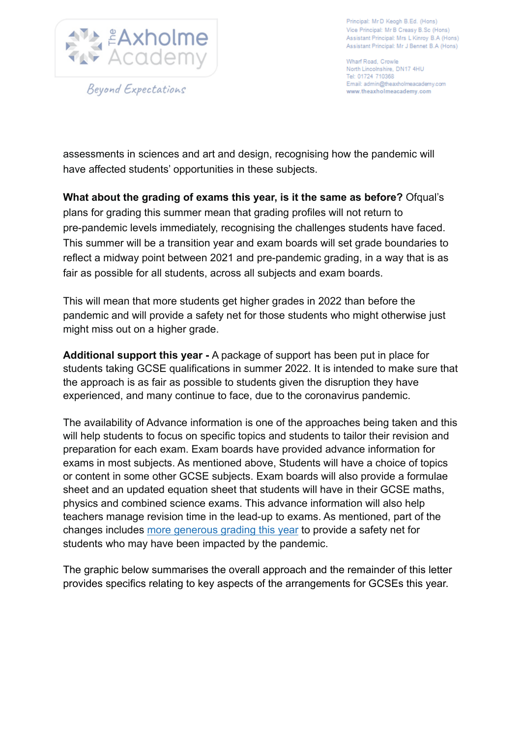

Principal: Mr D Keogh B.Ed. (Hons) Vice Principal: Mr B Creasy B.Sc (Hons) Assistant Principal: Mrs L Kinroy B.A (Hons) Assistant Principal: Mr J Bennet B.A (Hons)

Wharf Road, Crowle North Lincolnshire, DN17 4HU Tel: 01724 710368 Email: admin@theaxholmeacademy.com www.theaxholmeacademy.com

assessments in sciences and art and design, recognising how the pandemic will have affected students' opportunities in these subjects.

**What about the grading of exams this year, is it the same as before?** Ofqual's plans for grading this summer mean that grading profiles will not return to pre-pandemic levels immediately, recognising the challenges students have faced. This summer will be a transition year and exam boards will set grade boundaries to reflect a midway point between 2021 and pre-pandemic grading, in a way that is as fair as possible for all students, across all subjects and exam boards.

This will mean that more students get higher grades in 2022 than before the pandemic and will provide a safety net for those students who might otherwise just might miss out on a higher grade.

**Additional support this year -** A package of support has been put in place for students taking GCSE qualifications in summer 2022. It is intended to make sure that the approach is as fair as possible to students given the disruption they have experienced, and many continue to face, due to the coronavirus pandemic.

The availability of Advance information is one of the approaches being taken and this will help students to focus on specific topics and students to tailor their revision and preparation for each exam. Exam boards have provided advance information for exams in most subjects. As mentioned above, Students will have a choice of topics or content in some other GCSE subjects. Exam boards will also provide a formulae sheet and an updated equation sheet that students will have in their GCSE maths, physics and combined science exams. This advance information will also help teachers manage revision time in the lead-up to exams. As mentioned, part of the changes includes [more generous grading this year](https://www.gov.uk/government/speeches/ofquals-approach-to-grading-exams-and-assessments-in-summer-2022-and-autumn-2021) to provide a safety net for students who may have been impacted by the pandemic.

The graphic below summarises the overall approach and the remainder of this letter provides specifics relating to key aspects of the arrangements for GCSEs this year.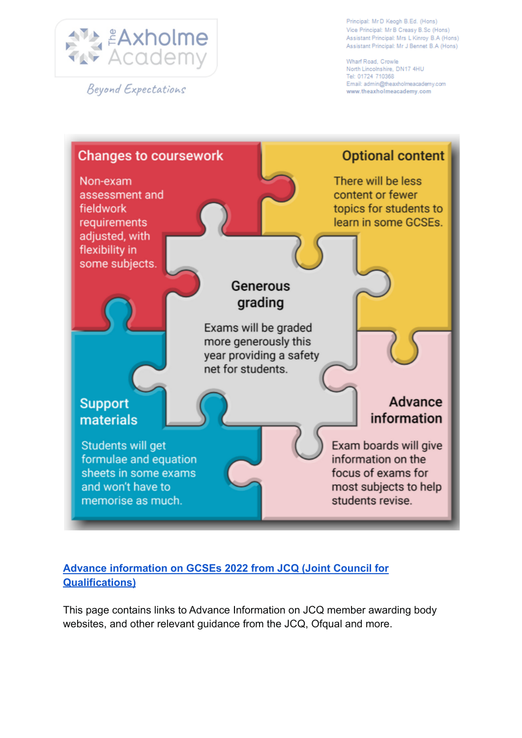

Beyond Expectations

Principal: Mr D Keogh B.Ed. (Hons) Vice Principal: Mr B Creasy B.Sc (Hons) Assistant Principal: Mrs L Kinroy B.A (Hons) Assistant Principal: Mr J Bennet B.A (Hons)

Wharf Road, Crowle North Lincolnshire, DN17 4HU Tel: 01724 710368 Email: admin@theaxholmeacademy.com www.theaxholmeacademy.com



## **[Advance information on GCSEs 2022 from JCQ \(Joint Council for](https://www.jcq.org.uk/summer-2022-arrangements/advance-information) [Qualifications\)](https://www.jcq.org.uk/summer-2022-arrangements/advance-information)**

This page contains links to Advance Information on JCQ member awarding body websites, and other relevant guidance from the JCQ, Ofqual and more.